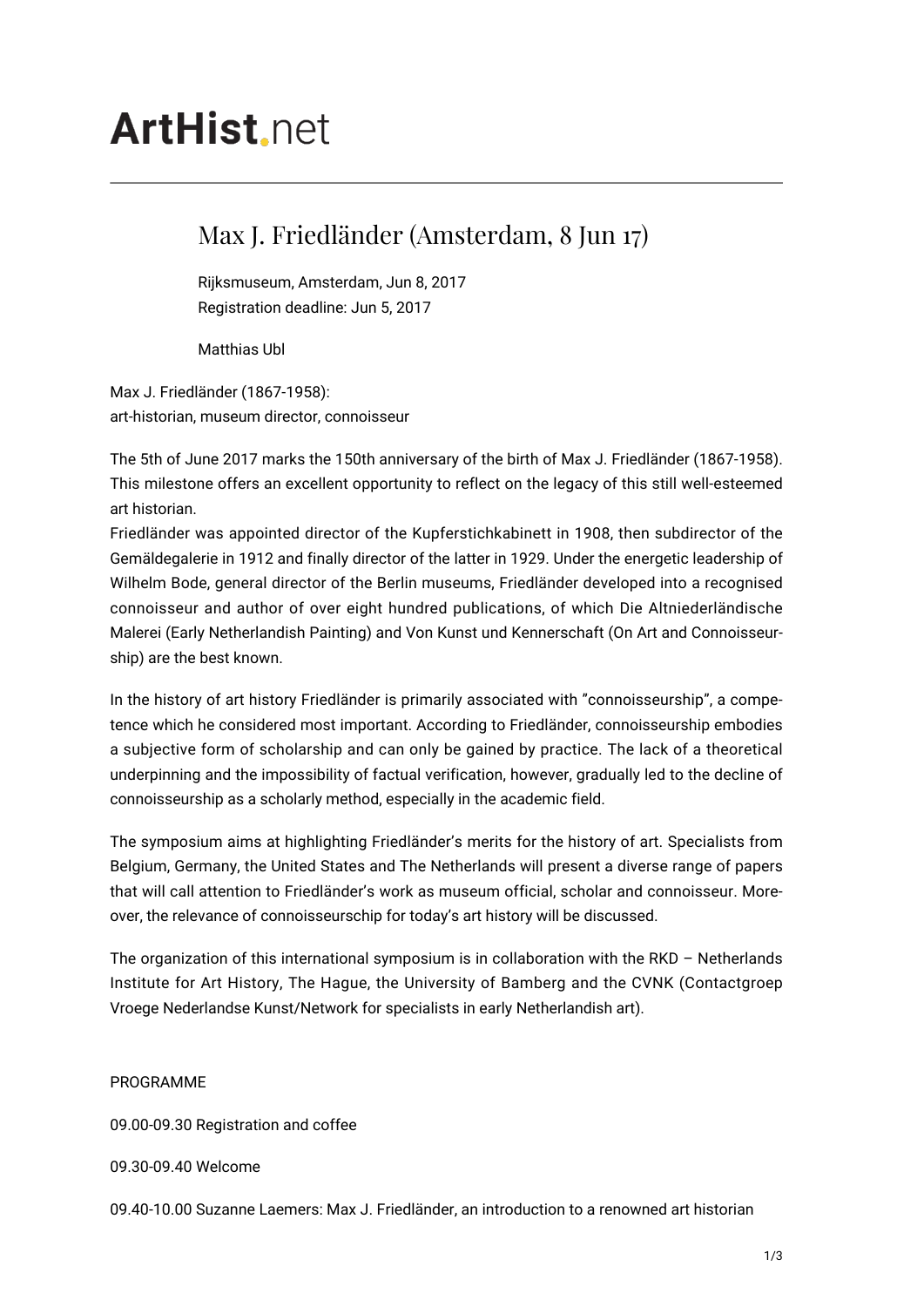# **ArtHist** net

# Max J. Friedländer (Amsterdam, 8 Jun 17)

Rijksmuseum, Amsterdam, Jun 8, 2017 Registration deadline: Jun 5, 2017

Matthias Ubl

Max J. Friedländer (1867-1958): art-historian, museum director, connoisseur

The 5th of June 2017 marks the 150th anniversary of the birth of Max J. Friedländer (1867-1958). This milestone offers an excellent opportunity to reflect on the legacy of this still well-esteemed art historian.

Friedländer was appointed director of the Kupferstichkabinett in 1908, then subdirector of the Gemäldegalerie in 1912 and finally director of the latter in 1929. Under the energetic leadership of Wilhelm Bode, general director of the Berlin museums, Friedländer developed into a recognised connoisseur and author of over eight hundred publications, of which Die Altniederländische Malerei (Early Netherlandish Painting) and Von Kunst und Kennerschaft (On Art and Connoisseurship) are the best known.

In the history of art history Friedländer is primarily associated with "connoisseurship", a competence which he considered most important. According to Friedländer, connoisseurship embodies a subjective form of scholarship and can only be gained by practice. The lack of a theoretical underpinning and the impossibility of factual verification, however, gradually led to the decline of connoisseurship as a scholarly method, especially in the academic field.

The symposium aims at highlighting Friedländer's merits for the history of art. Specialists from Belgium, Germany, the United States and The Netherlands will present a diverse range of papers that will call attention to Friedländer's work as museum official, scholar and connoisseur. Moreover, the relevance of connoisseurschip for today's art history will be discussed.

The organization of this international symposium is in collaboration with the RKD – Netherlands Institute for Art History, The Hague, the University of Bamberg and the CVNK (Contactgroep Vroege Nederlandse Kunst/Network for specialists in early Netherlandish art).

#### PROGRAMME

09.00-09.30 Registration and coffee

09.30-09.40 Welcome

09.40-10.00 Suzanne Laemers: Max J. Friedländer, an introduction to a renowned art historian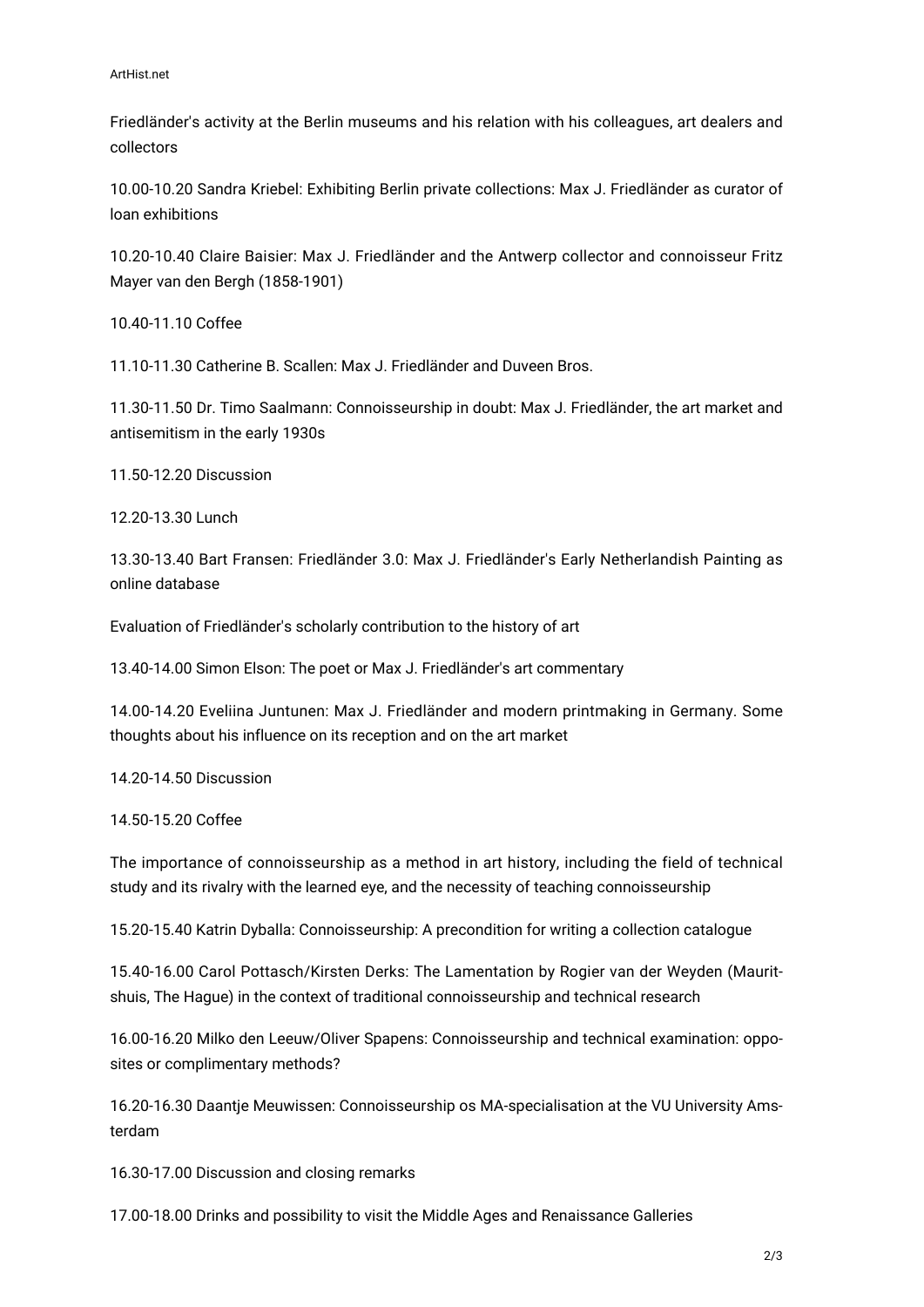Friedländer's activity at the Berlin museums and his relation with his colleagues, art dealers and collectors

10.00-10.20 Sandra Kriebel: Exhibiting Berlin private collections: Max J. Friedländer as curator of loan exhibitions

10.20-10.40 Claire Baisier: Max J. Friedländer and the Antwerp collector and connoisseur Fritz Mayer van den Bergh (1858-1901)

10.40-11.10 Coffee

11.10-11.30 Catherine B. Scallen: Max J. Friedländer and Duveen Bros.

11.30-11.50 Dr. Timo Saalmann: Connoisseurship in doubt: Max J. Friedländer, the art market and antisemitism in the early 1930s

11.50-12.20 Discussion

12.20-13.30 Lunch

13.30-13.40 Bart Fransen: Friedländer 3.0: Max J. Friedländer's Early Netherlandish Painting as online database

Evaluation of Friedländer's scholarly contribution to the history of art

13.40-14.00 Simon Elson: The poet or Max J. Friedländer's art commentary

14.00-14.20 Eveliina Juntunen: Max J. Friedländer and modern printmaking in Germany. Some thoughts about his influence on its reception and on the art market

14.20-14.50 Discussion

14.50-15.20 Coffee

The importance of connoisseurship as a method in art history, including the field of technical study and its rivalry with the learned eye, and the necessity of teaching connoisseurship

15.20-15.40 Katrin Dyballa: Connoisseurship: A precondition for writing a collection catalogue

15.40-16.00 Carol Pottasch/Kirsten Derks: The Lamentation by Rogier van der Weyden (Mauritshuis, The Hague) in the context of traditional connoisseurship and technical research

16.00-16.20 Milko den Leeuw/Oliver Spapens: Connoisseurship and technical examination: opposites or complimentary methods?

16.20-16.30 Daantje Meuwissen: Connoisseurship os MA-specialisation at the VU University Amsterdam

16.30-17.00 Discussion and closing remarks

17.00-18.00 Drinks and possibility to visit the Middle Ages and Renaissance Galleries